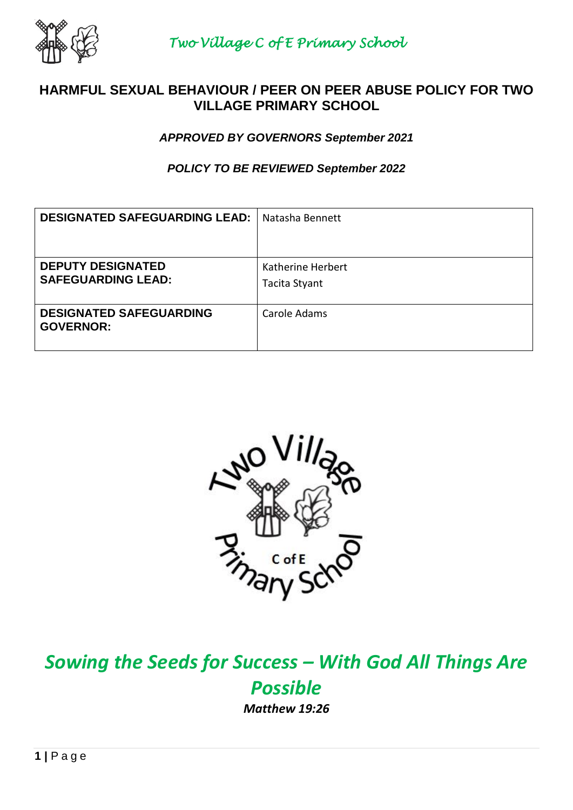

### **HARMFUL SEXUAL BEHAVIOUR / PEER ON PEER ABUSE POLICY FOR TWO VILLAGE PRIMARY SCHOOL**

*APPROVED BY GOVERNORS September 2021*

*POLICY TO BE REVIEWED September 2022*

| <b>DESIGNATED SAFEGUARDING LEAD:</b>                  | Natasha Bennett                    |
|-------------------------------------------------------|------------------------------------|
| <b>DEPUTY DESIGNATED</b><br><b>SAFEGUARDING LEAD:</b> | Katherine Herbert<br>Tacita Styant |
| <b>DESIGNATED SAFEGUARDING</b><br><b>GOVERNOR:</b>    | Carole Adams                       |



# *Sowing the Seeds for Success – With God All Things Are Possible*

*Matthew 19:26*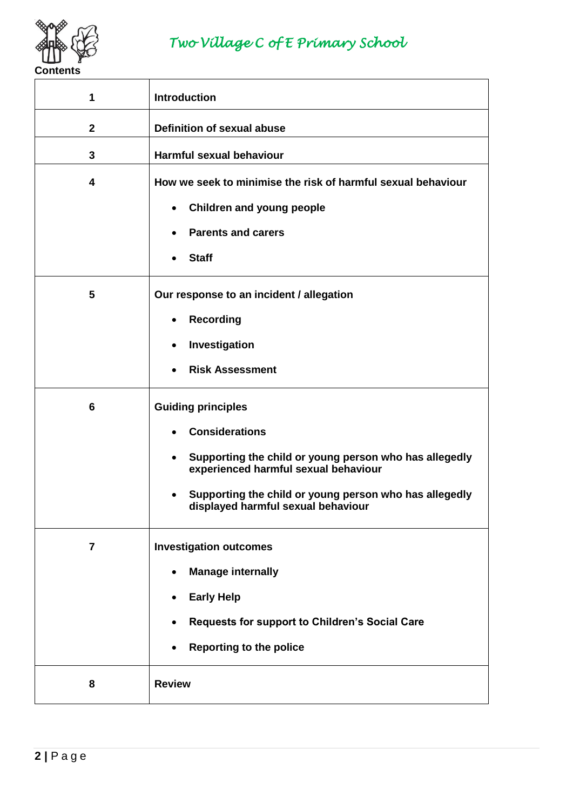

| 1              | <b>Introduction</b>                                                                                                                                                                                                                                                                         |
|----------------|---------------------------------------------------------------------------------------------------------------------------------------------------------------------------------------------------------------------------------------------------------------------------------------------|
| $\mathbf{2}$   | <b>Definition of sexual abuse</b>                                                                                                                                                                                                                                                           |
| 3              | <b>Harmful sexual behaviour</b>                                                                                                                                                                                                                                                             |
| 4              | How we seek to minimise the risk of harmful sexual behaviour<br><b>Children and young people</b><br>$\bullet$<br><b>Parents and carers</b><br><b>Staff</b>                                                                                                                                  |
| 5              | Our response to an incident / allegation<br><b>Recording</b><br>Investigation<br>$\bullet$<br><b>Risk Assessment</b>                                                                                                                                                                        |
| 6              | <b>Guiding principles</b><br><b>Considerations</b><br>$\bullet$<br>Supporting the child or young person who has allegedly<br>$\bullet$<br>experienced harmful sexual behaviour<br>Supporting the child or young person who has allegedly<br>$\bullet$<br>displayed harmful sexual behaviour |
| $\overline{7}$ | <b>Investigation outcomes</b><br><b>Manage internally</b><br><b>Early Help</b><br>Requests for support to Children's Social Care                                                                                                                                                            |
|                | <b>Reporting to the police</b>                                                                                                                                                                                                                                                              |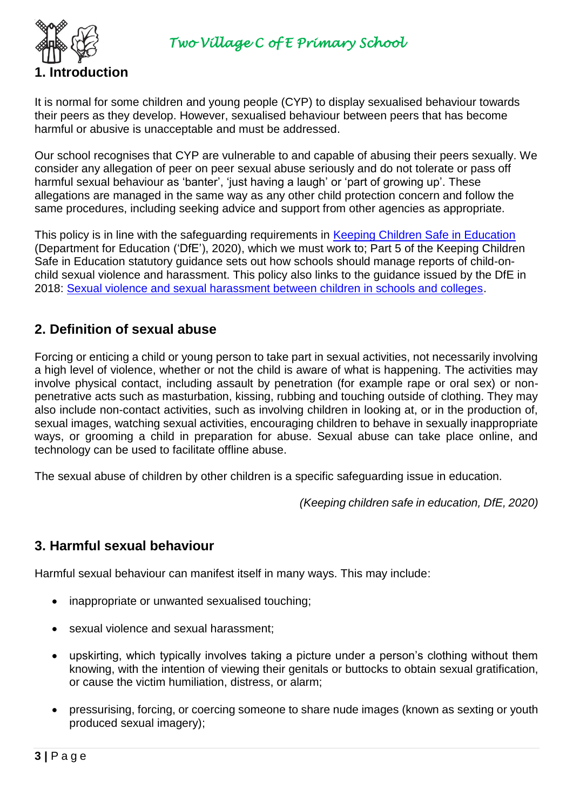



It is normal for some children and young people (CYP) to display sexualised behaviour towards their peers as they develop. However, sexualised behaviour between peers that has become harmful or abusive is unacceptable and must be addressed.

Our school recognises that CYP are vulnerable to and capable of abusing their peers sexually. We consider any allegation of peer on peer sexual abuse seriously and do not tolerate or pass off harmful sexual behaviour as 'banter', 'just having a laugh' or 'part of growing up'. These allegations are managed in the same way as any other child protection concern and follow the same procedures, including seeking advice and support from other agencies as appropriate.

This policy is in line with the safeguarding requirements in [Keeping Children Safe in Education](https://eur02.safelinks.protection.outlook.com/?url=https%3A%2F%2Fassets.publishing.service.gov.uk%2Fgovernment%2Fuploads%2Fsystem%2Fuploads%2Fattachment_data%2Ffile%2F954314%2FKeeping_children_safe_in_education_2020_-_Update_-_January_2021.pdf&data=04%7C01%7C%7Cf2e9fff87b2149eb72d208d8fe84ac80%7Ca8b4324f155c4215a0f17ed8cc9a992f%7C0%7C0%7C637539193225028841%7CUnknown%7CTWFpbGZsb3d8eyJWIjoiMC4wLjAwMDAiLCJQIjoiV2luMzIiLCJBTiI6Ik1haWwiLCJXVCI6Mn0%3D%7C1000&sdata=VnfJGiVrh%2BweNNu%2BiwjdcWv8RJzWF6EvSn1d8NGC7oE%3D&reserved=0) (Department for Education ('DfE'), 2020), which we must work to; Part 5 of the Keeping Children Safe in Education statutory guidance sets out how schools should manage reports of child-onchild sexual violence and harassment. This policy also links to the guidance issued by the DfE in 2018: [Sexual violence and sexual harassment between children in schools and colleges.](https://eur02.safelinks.protection.outlook.com/?url=https%3A%2F%2Fwww.gov.uk%2Fgovernment%2Fpublications%2Fsexual-violence-and-sexual-harassment-between-children-in-schools-and-colleges&data=04%7C01%7C%7Cf2e9fff87b2149eb72d208d8fe84ac80%7Ca8b4324f155c4215a0f17ed8cc9a992f%7C0%7C0%7C637539193225038798%7CUnknown%7CTWFpbGZsb3d8eyJWIjoiMC4wLjAwMDAiLCJQIjoiV2luMzIiLCJBTiI6Ik1haWwiLCJXVCI6Mn0%3D%7C1000&sdata=ZYrHV9%2FJUndIMjNVX505sSFT9UICMSs637uOd9Oag4Q%3D&reserved=0)

## **2. Definition of sexual abuse**

Forcing or enticing a child or young person to take part in sexual activities, not necessarily involving a high level of violence, whether or not the child is aware of what is happening. The activities may involve physical contact, including assault by penetration (for example rape or oral sex) or nonpenetrative acts such as masturbation, kissing, rubbing and touching outside of clothing. They may also include non-contact activities, such as involving children in looking at, or in the production of, sexual images, watching sexual activities, encouraging children to behave in sexually inappropriate ways, or grooming a child in preparation for abuse. Sexual abuse can take place online, and technology can be used to facilitate offline abuse.

The sexual abuse of children by other children is a specific safeguarding issue in education.

*(Keeping children safe in education, DfE, 2020)*

### **3. Harmful sexual behaviour**

Harmful sexual behaviour can manifest itself in many ways. This may include:

- inappropriate or unwanted sexualised touching;
- sexual violence and sexual harassment:
- upskirting, which typically involves taking a picture under a person's clothing without them knowing, with the intention of viewing their genitals or buttocks to obtain sexual gratification, or cause the victim humiliation, distress, or alarm;
- pressurising, forcing, or coercing someone to share nude images (known as sexting or youth produced sexual imagery);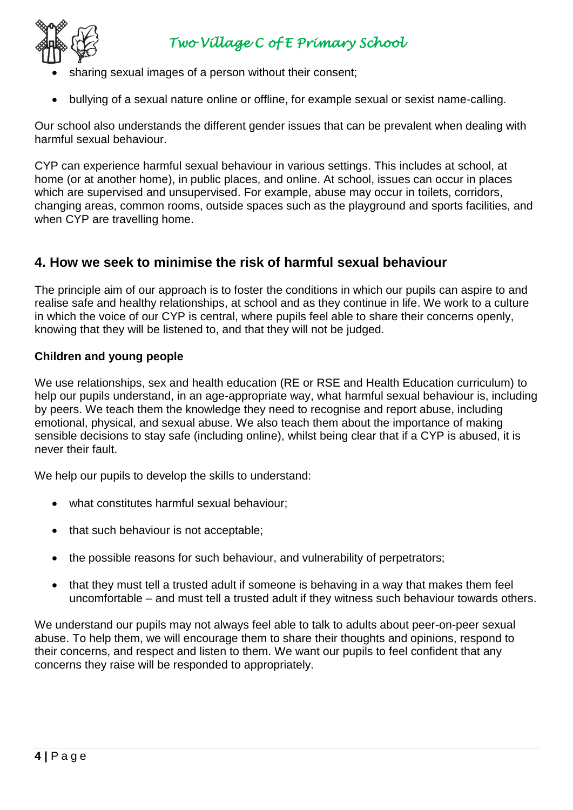

- sharing sexual images of a person without their consent;
- bullying of a sexual nature online or offline, for example sexual or sexist name-calling.

Our school also understands the different gender issues that can be prevalent when dealing with harmful sexual behaviour.

CYP can experience harmful sexual behaviour in various settings. This includes at school, at home (or at another home), in public places, and online. At school, issues can occur in places which are supervised and unsupervised. For example, abuse may occur in toilets, corridors, changing areas, common rooms, outside spaces such as the playground and sports facilities, and when CYP are travelling home.

### **4. How we seek to minimise the risk of harmful sexual behaviour**

The principle aim of our approach is to foster the conditions in which our pupils can aspire to and realise safe and healthy relationships, at school and as they continue in life. We work to a culture in which the voice of our CYP is central, where pupils feel able to share their concerns openly, knowing that they will be listened to, and that they will not be judged.

#### **Children and young people**

We use relationships, sex and health education (RE or RSE and Health Education curriculum) to help our pupils understand, in an age-appropriate way, what harmful sexual behaviour is, including by peers. We teach them the knowledge they need to recognise and report abuse, including emotional, physical, and sexual abuse. We also teach them about the importance of making sensible decisions to stay safe (including online), whilst being clear that if a CYP is abused, it is never their fault.

We help our pupils to develop the skills to understand:

- what constitutes harmful sexual behaviour;
- that such behaviour is not acceptable;
- the possible reasons for such behaviour, and vulnerability of perpetrators;
- that they must tell a trusted adult if someone is behaving in a way that makes them feel uncomfortable – and must tell a trusted adult if they witness such behaviour towards others.

We understand our pupils may not always feel able to talk to adults about peer-on-peer sexual abuse. To help them, we will encourage them to share their thoughts and opinions, respond to their concerns, and respect and listen to them. We want our pupils to feel confident that any concerns they raise will be responded to appropriately.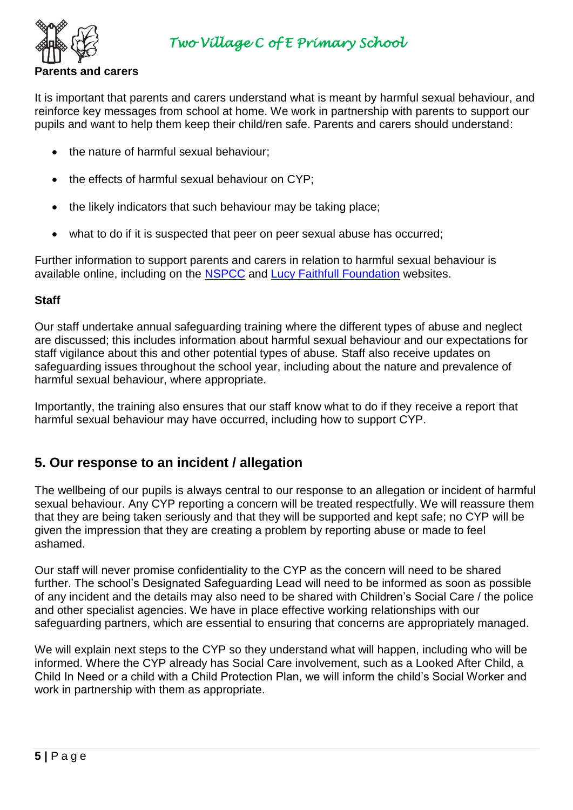

It is important that parents and carers understand what is meant by harmful sexual behaviour, and reinforce key messages from school at home. We work in partnership with parents to support our pupils and want to help them keep their child/ren safe. Parents and carers should understand:

- the nature of harmful sexual behaviour;
- the effects of harmful sexual behaviour on CYP;
- the likely indicators that such behaviour may be taking place;
- what to do if it is suspected that peer on peer sexual abuse has occurred;

Further information to support parents and carers in relation to harmful sexual behaviour is available online, including on the [NSPCC](https://www.nspcc.org.uk/what-is-child-abuse/types-of-abuse/child-sexual-abuse/#support) and [Lucy Faithfull Foundation](https://www.lucyfaithfull.org.uk/parents-protect.htm) websites.

#### **Staff**

Our staff undertake annual safeguarding training where the different types of abuse and neglect are discussed; this includes information about harmful sexual behaviour and our expectations for staff vigilance about this and other potential types of abuse. Staff also receive updates on safeguarding issues throughout the school year, including about the nature and prevalence of harmful sexual behaviour, where appropriate.

Importantly, the training also ensures that our staff know what to do if they receive a report that harmful sexual behaviour may have occurred, including how to support CYP.

### **5. Our response to an incident / allegation**

The wellbeing of our pupils is always central to our response to an allegation or incident of harmful sexual behaviour. Any CYP reporting a concern will be treated respectfully. We will reassure them that they are being taken seriously and that they will be supported and kept safe; no CYP will be given the impression that they are creating a problem by reporting abuse or made to feel ashamed.

Our staff will never promise confidentiality to the CYP as the concern will need to be shared further. The school's Designated Safeguarding Lead will need to be informed as soon as possible of any incident and the details may also need to be shared with Children's Social Care / the police and other specialist agencies. We have in place effective working relationships with our safeguarding partners, which are essential to ensuring that concerns are appropriately managed.

We will explain next steps to the CYP so they understand what will happen, including who will be informed. Where the CYP already has Social Care involvement, such as a Looked After Child, a Child In Need or a child with a Child Protection Plan, we will inform the child's Social Worker and work in partnership with them as appropriate.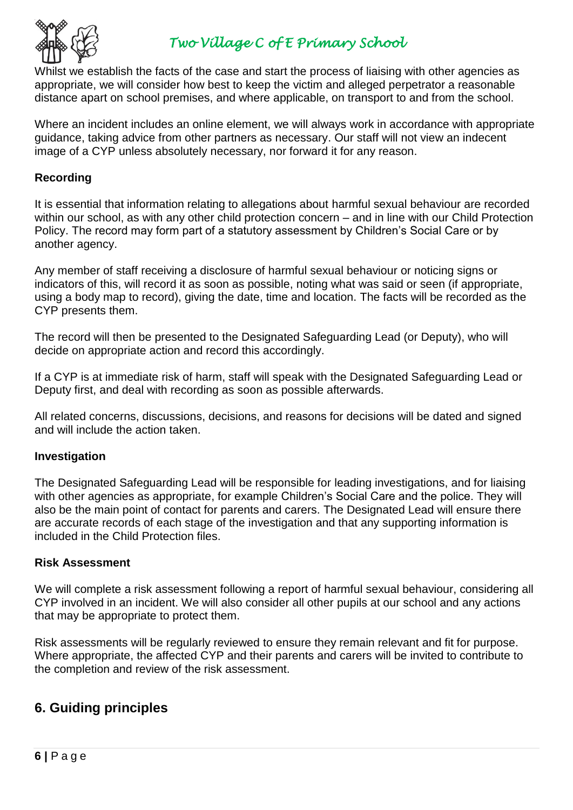

Whilst we establish the facts of the case and start the process of liaising with other agencies as appropriate, we will consider how best to keep the victim and alleged perpetrator a reasonable distance apart on school premises, and where applicable, on transport to and from the school.

Where an incident includes an online element, we will always work in accordance with appropriate guidance, taking advice from other partners as necessary. Our staff will not view an indecent image of a CYP unless absolutely necessary, nor forward it for any reason.

#### **Recording**

It is essential that information relating to allegations about harmful sexual behaviour are recorded within our school, as with any other child protection concern – and in line with our Child Protection Policy. The record may form part of a statutory assessment by Children's Social Care or by another agency.

Any member of staff receiving a disclosure of harmful sexual behaviour or noticing signs or indicators of this, will record it as soon as possible, noting what was said or seen (if appropriate, using a body map to record), giving the date, time and location. The facts will be recorded as the CYP presents them.

The record will then be presented to the Designated Safeguarding Lead (or Deputy), who will decide on appropriate action and record this accordingly.

If a CYP is at immediate risk of harm, staff will speak with the Designated Safeguarding Lead or Deputy first, and deal with recording as soon as possible afterwards.

All related concerns, discussions, decisions, and reasons for decisions will be dated and signed and will include the action taken.

#### **Investigation**

The Designated Safeguarding Lead will be responsible for leading investigations, and for liaising with other agencies as appropriate, for example Children's Social Care and the police. They will also be the main point of contact for parents and carers. The Designated Lead will ensure there are accurate records of each stage of the investigation and that any supporting information is included in the Child Protection files.

#### **Risk Assessment**

We will complete a risk assessment following a report of harmful sexual behaviour, considering all CYP involved in an incident. We will also consider all other pupils at our school and any actions that may be appropriate to protect them.

Risk assessments will be regularly reviewed to ensure they remain relevant and fit for purpose. Where appropriate, the affected CYP and their parents and carers will be invited to contribute to the completion and review of the risk assessment.

### **6. Guiding principles**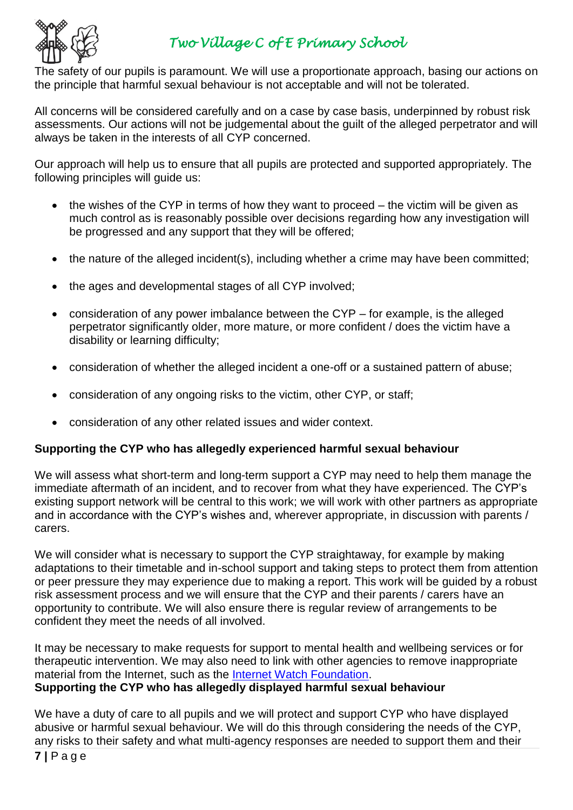

The safety of our pupils is paramount. We will use a proportionate approach, basing our actions on the principle that harmful sexual behaviour is not acceptable and will not be tolerated.

All concerns will be considered carefully and on a case by case basis, underpinned by robust risk assessments. Our actions will not be judgemental about the guilt of the alleged perpetrator and will always be taken in the interests of all CYP concerned.

Our approach will help us to ensure that all pupils are protected and supported appropriately. The following principles will guide us:

- the wishes of the CYP in terms of how they want to proceed the victim will be given as much control as is reasonably possible over decisions regarding how any investigation will be progressed and any support that they will be offered;
- the nature of the alleged incident(s), including whether a crime may have been committed;
- the ages and developmental stages of all CYP involved:
- consideration of any power imbalance between the CYP for example, is the alleged perpetrator significantly older, more mature, or more confident / does the victim have a disability or learning difficulty;
- consideration of whether the alleged incident a one-off or a sustained pattern of abuse;
- consideration of any ongoing risks to the victim, other CYP, or staff;
- consideration of any other related issues and wider context.

#### **Supporting the CYP who has allegedly experienced harmful sexual behaviour**

We will assess what short-term and long-term support a CYP may need to help them manage the immediate aftermath of an incident, and to recover from what they have experienced. The CYP's existing support network will be central to this work; we will work with other partners as appropriate and in accordance with the CYP's wishes and, wherever appropriate, in discussion with parents / carers.

We will consider what is necessary to support the CYP straightaway, for example by making adaptations to their timetable and in-school support and taking steps to protect them from attention or peer pressure they may experience due to making a report. This work will be guided by a robust risk assessment process and we will ensure that the CYP and their parents / carers have an opportunity to contribute. We will also ensure there is regular review of arrangements to be confident they meet the needs of all involved.

It may be necessary to make requests for support to mental health and wellbeing services or for therapeutic intervention. We may also need to link with other agencies to remove inappropriate material from the Internet, such as the [Internet Watch Foundation.](https://www.iwf.org.uk/) **Supporting the CYP who has allegedly displayed harmful sexual behaviour**

We have a duty of care to all pupils and we will protect and support CYP who have displayed abusive or harmful sexual behaviour. We will do this through considering the needs of the CYP, any risks to their safety and what multi-agency responses are needed to support them and their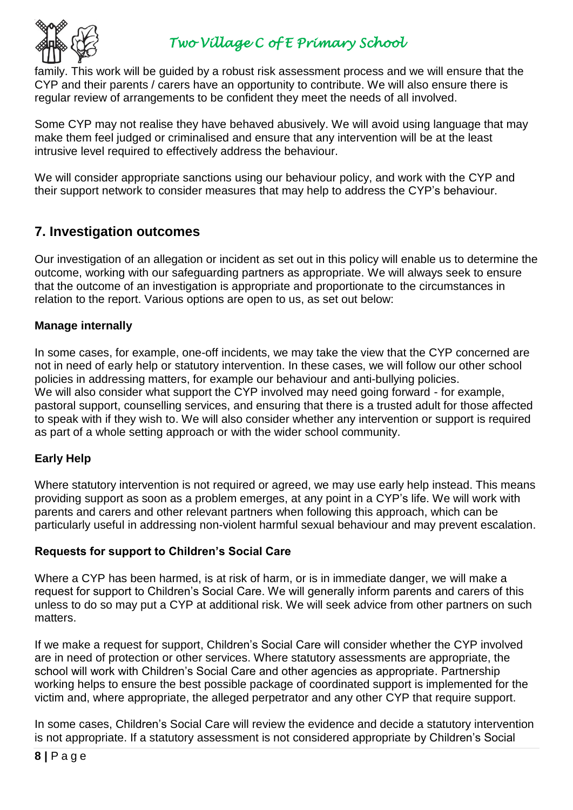

family. This work will be guided by a robust risk assessment process and we will ensure that the CYP and their parents / carers have an opportunity to contribute. We will also ensure there is regular review of arrangements to be confident they meet the needs of all involved.

Some CYP may not realise they have behaved abusively. We will avoid using language that may make them feel judged or criminalised and ensure that any intervention will be at the least intrusive level required to effectively address the behaviour.

We will consider appropriate sanctions using our behaviour policy, and work with the CYP and their support network to consider measures that may help to address the CYP's behaviour.

## **7. Investigation outcomes**

Our investigation of an allegation or incident as set out in this policy will enable us to determine the outcome, working with our safeguarding partners as appropriate. We will always seek to ensure that the outcome of an investigation is appropriate and proportionate to the circumstances in relation to the report. Various options are open to us, as set out below:

#### **Manage internally**

In some cases, for example, one-off incidents, we may take the view that the CYP concerned are not in need of early help or statutory intervention. In these cases, we will follow our other school policies in addressing matters, for example our behaviour and anti-bullying policies. We will also consider what support the CYP involved may need going forward - for example, pastoral support, counselling services, and ensuring that there is a trusted adult for those affected to speak with if they wish to. We will also consider whether any intervention or support is required as part of a whole setting approach or with the wider school community.

#### **Early Help**

Where statutory intervention is not required or agreed, we may use early help instead. This means providing support as soon as a problem emerges, at any point in a CYP's life. We will work with parents and carers and other relevant partners when following this approach, which can be particularly useful in addressing non-violent harmful sexual behaviour and may prevent escalation.

#### **Requests for support to Children's Social Care**

Where a CYP has been harmed, is at risk of harm, or is in immediate danger, we will make a request for support to Children's Social Care. We will generally inform parents and carers of this unless to do so may put a CYP at additional risk. We will seek advice from other partners on such matters.

If we make a request for support, Children's Social Care will consider whether the CYP involved are in need of protection or other services. Where statutory assessments are appropriate, the school will work with Children's Social Care and other agencies as appropriate. Partnership working helps to ensure the best possible package of coordinated support is implemented for the victim and, where appropriate, the alleged perpetrator and any other CYP that require support.

In some cases, Children's Social Care will review the evidence and decide a statutory intervention is not appropriate. If a statutory assessment is not considered appropriate by Children's Social